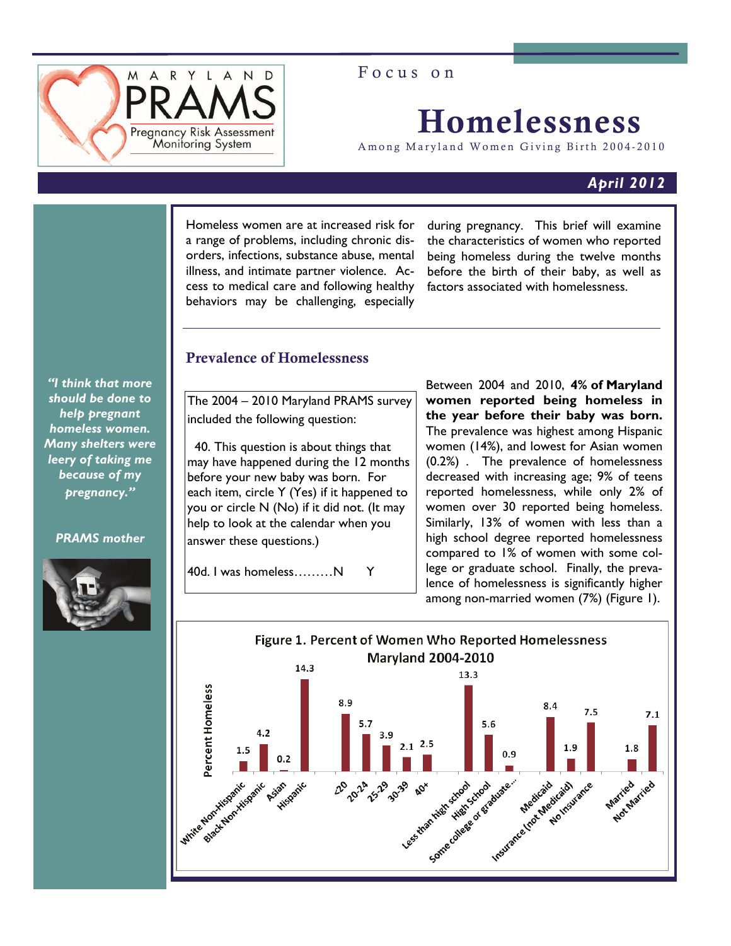

Focus on

# Homelessness

Among Maryland Women Giving Birth 2004-2010

# *April 2012*

Homeless women are at increased risk for a range of problems, including chronic disorders, infections, substance abuse, mental illness, and intimate partner violence. Access to medical care and following healthy behaviors may be challenging, especially

during pregnancy. This brief will examine the characteristics of women who reported being homeless during the twelve months before the birth of their baby, as well as factors associated with homelessness.

# Prevalence of Homelessness

*"I think that more should be done to help pregnant homeless women. Many shelters were leery of taking me because of my pregnancy."* 

### *PRAMS mother*



The 2004 – 2010 Maryland PRAMS survey included the following question:

40. This question is about things that may have happened during the 12 months before your new baby was born. For each item, circle Y (Yes) if it happened to you or circle N (No) if it did not. (It may help to look at the calendar when you answer these questions.)

40d. I was homeless………N Y

Between 2004 and 2010, **4% of Maryland women reported being homeless in the year before their baby was born.**  The prevalence was highest among Hispanic women (14%), and lowest for Asian women (0.2%) . The prevalence of homelessness decreased with increasing age; 9% of teens reported homelessness, while only 2% of women over 30 reported being homeless. Similarly, 13% of women with less than a high school degree reported homelessness compared to 1% of women with some college or graduate school. Finally, the prevalence of homelessness is significantly higher among non-married women (7%) (Figure 1).

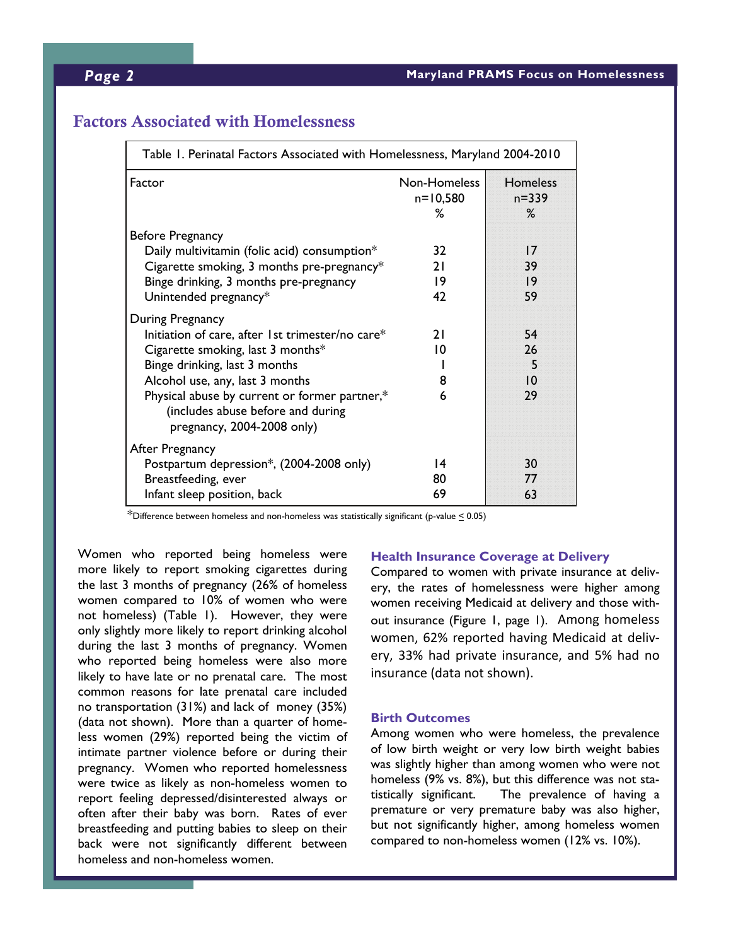## *Page 2* **Maryland PRAMS Focus on Homelessness**

# Factors Associated with Homelessness

| Table 1. Perinatal Factors Associated with Homelessness, Maryland 2004-2010                                                                                                                                                                                                                         |                               |                                   |
|-----------------------------------------------------------------------------------------------------------------------------------------------------------------------------------------------------------------------------------------------------------------------------------------------------|-------------------------------|-----------------------------------|
| Factor                                                                                                                                                                                                                                                                                              | Non-Homeless<br>n=10,580<br>% | <b>Homeless</b><br>$n = 339$<br>% |
| <b>Before Pregnancy</b><br>Daily multivitamin (folic acid) consumption*<br>Cigarette smoking, 3 months pre-pregnancy*<br>Binge drinking, 3 months pre-pregnancy<br>Unintended pregnancy*                                                                                                            | 32<br>21<br>19<br>47          | 17<br>39<br> 9<br>59              |
| During Pregnancy<br>Initiation of care, after 1st trimester/no care*<br>Cigarette smoking, last $3$ months*<br>Binge drinking, last 3 months<br>Alcohol use, any, last 3 months<br>Physical abuse by current or former partner,*<br>(includes abuse before and during<br>pregnancy, 2004-2008 only) | 21<br>10<br>8<br>6            | 54<br>26<br>5<br>10<br>29         |
| After Pregnancy<br>Postpartum depression*, (2004-2008 only)<br>Breastfeeding, ever<br>Infant sleep position, back                                                                                                                                                                                   | $\overline{14}$<br>80<br>69   | 30<br>77<br>63                    |

 $*$ Difference between homeless and non-homeless was statistically significant (p-value  $\leq$  0.05)

Women who reported being homeless were more likely to report smoking cigarettes during the last 3 months of pregnancy (26% of homeless women compared to 10% of women who were not homeless) (Table 1). However, they were only slightly more likely to report drinking alcohol during the last 3 months of pregnancy. Women who reported being homeless were also more likely to have late or no prenatal care. The most common reasons for late prenatal care included no transportation (31%) and lack of money (35%) (data not shown). More than a quarter of homeless women (29%) reported being the victim of intimate partner violence before or during their pregnancy. Women who reported homelessness were twice as likely as non-homeless women to report feeling depressed/disinterested always or often after their baby was born. Rates of ever breastfeeding and putting babies to sleep on their back were not significantly different between homeless and non-homeless women.

#### **Health Insurance Coverage at Delivery**

Compared to women with private insurance at delivery, the rates of homelessness were higher among women receiving Medicaid at delivery and those without insurance (Figure 1, page 1). Among homeless women, 62% reported having Medicaid at deliv‐ ery, 33% had private insurance, and 5% had no insurance (data not shown).

#### **Birth Outcomes**

Among women who were homeless, the prevalence of low birth weight or very low birth weight babies was slightly higher than among women who were not homeless (9% vs. 8%), but this difference was not statistically significant. The prevalence of having a premature or very premature baby was also higher, but not significantly higher, among homeless women compared to non-homeless women (12% vs. 10%).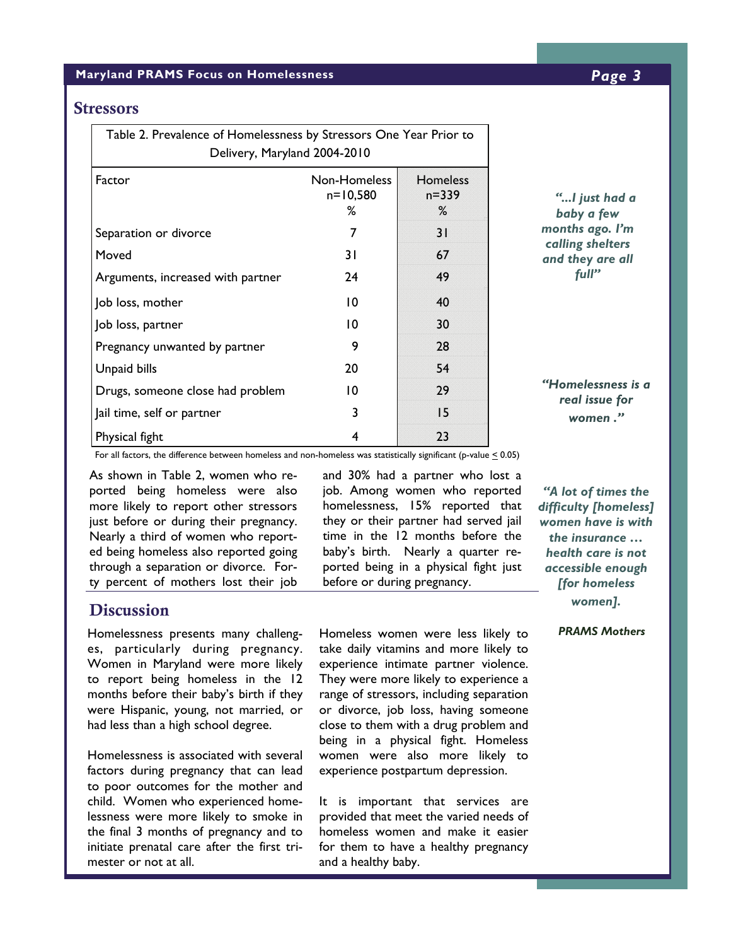#### **Maryland PRAMS Focus on Homelessness** *Page 3*

### **Stressors**

| Table 2. Prevalence of Homelessness by Stressors One Year Prior to<br>Delivery, Maryland 2004-2010 |                                   |                                  |  |
|----------------------------------------------------------------------------------------------------|-----------------------------------|----------------------------------|--|
| Factor                                                                                             | Non-Homeless<br>$n = 10,580$<br>℅ | <b>Homeless</b><br>n=339<br>$\%$ |  |
| Separation or divorce                                                                              | 7                                 | 31                               |  |
| Moved                                                                                              | 31                                | 67                               |  |
| Arguments, increased with partner                                                                  | 24                                | 49                               |  |
| Job loss, mother                                                                                   | 10                                | 40                               |  |
| Job loss, partner                                                                                  | 10                                | 30                               |  |
| Pregnancy unwanted by partner                                                                      | 9                                 | 28                               |  |
| Unpaid bills                                                                                       | 20                                | 54                               |  |
| Drugs, someone close had problem                                                                   | 10                                | 29                               |  |
| Jail time, self or partner                                                                         | 3                                 | 15                               |  |
| Physical fight                                                                                     | 4                                 | 23                               |  |

*"...I just had a baby a few months ago. I'm calling shelters and they are all full"* 

*"Homelessness is a real issue for women ."* 

For all factors, the difference between homeless and non-homeless was statistically significant (p-value  $\leq 0.05$ )

As shown in Table 2, women who reported being homeless were also more likely to report other stressors just before or during their pregnancy. Nearly a third of women who reported being homeless also reported going through a separation or divorce. Forty percent of mothers lost their job

# **Discussion**

Homelessness presents many challenges, particularly during pregnancy. Women in Maryland were more likely to report being homeless in the 12 months before their baby's birth if they were Hispanic, young, not married, or had less than a high school degree.

Homelessness is associated with several factors during pregnancy that can lead to poor outcomes for the mother and child. Women who experienced homelessness were more likely to smoke in the final 3 months of pregnancy and to initiate prenatal care after the first trimester or not at all.

and 30% had a partner who lost a job. Among women who reported homelessness, 15% reported that they or their partner had served jail time in the 12 months before the baby's birth. Nearly a quarter reported being in a physical fight just before or during pregnancy.

*"A lot of times the difficulty [homeless] women have is with the insurance … health care is not accessible enough [for homeless women].* 

Homeless women were less likely to *PRAMS Mothers* take daily vitamins and more likely to experience intimate partner violence. They were more likely to experience a range of stressors, including separation or divorce, job loss, having someone close to them with a drug problem and being in a physical fight. Homeless women were also more likely to experience postpartum depression.

It is important that services are provided that meet the varied needs of homeless women and make it easier for them to have a healthy pregnancy and a healthy baby.